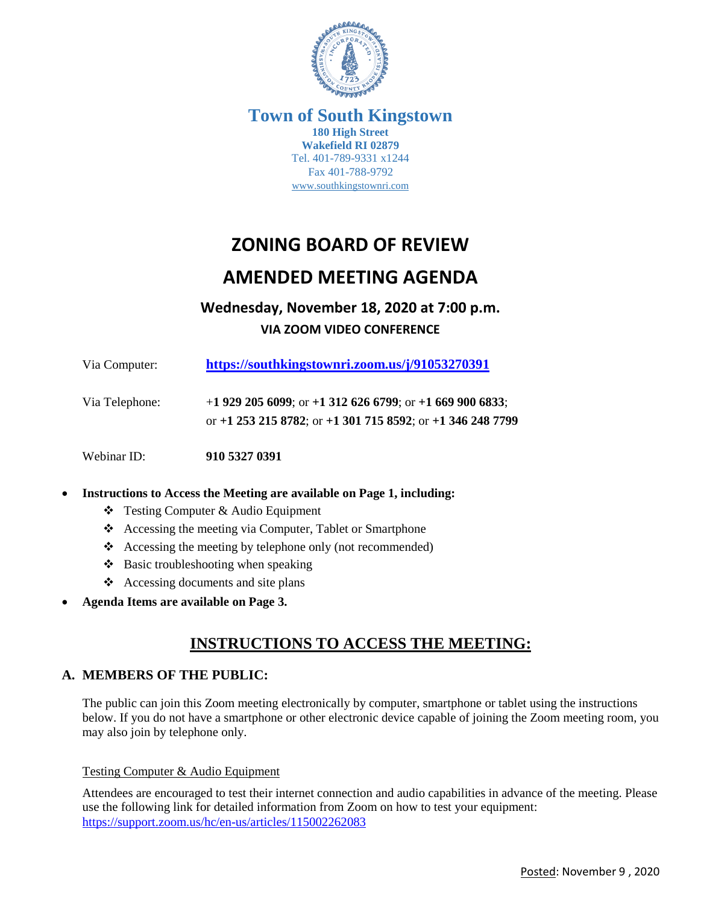

### **Town of South Kingstown 180 High Street Wakefield RI 02879** Tel. 401-789-9331 x1244 Fax 401-788-9792 [www.southkingstownri.com](http://www.southkingstownri.com/)

# **ZONING BOARD OF REVIEW**

# **AMENDED MEETING AGENDA**

# **Wednesday, November 18, 2020 at 7:00 p.m. VIA ZOOM VIDEO CONFERENCE**

| Via Computer:  | https://southkingstownri.zoom.us/j/91053270391                                                                         |
|----------------|------------------------------------------------------------------------------------------------------------------------|
| Via Telephone: | +1 929 205 6099; or +1 312 626 6799; or +1 669 900 6833;<br>or +1 253 215 8782; or +1 301 715 8592; or +1 346 248 7799 |
| Webinar ID:    | 910 5327 0391                                                                                                          |

### **Instructions to Access the Meeting are available on Page 1, including:**

- Testing Computer & Audio Equipment
- \* Accessing the meeting via Computer, Tablet or Smartphone
- Accessing the meeting by telephone only (not recommended)
- $\triangle$  Basic troubleshooting when speaking
- Accessing documents and site plans
- **Agenda Items are available on Page 3.**

# **INSTRUCTIONS TO ACCESS THE MEETING:**

## **A. MEMBERS OF THE PUBLIC:**

The public can join this Zoom meeting electronically by computer, smartphone or tablet using the instructions below. If you do not have a smartphone or other electronic device capable of joining the Zoom meeting room, you may also join by telephone only.

### Testing Computer & Audio Equipment

Attendees are encouraged to test their internet connection and audio capabilities in advance of the meeting. Please use the following link for detailed information from Zoom on how to test your equipment: <https://support.zoom.us/hc/en-us/articles/115002262083>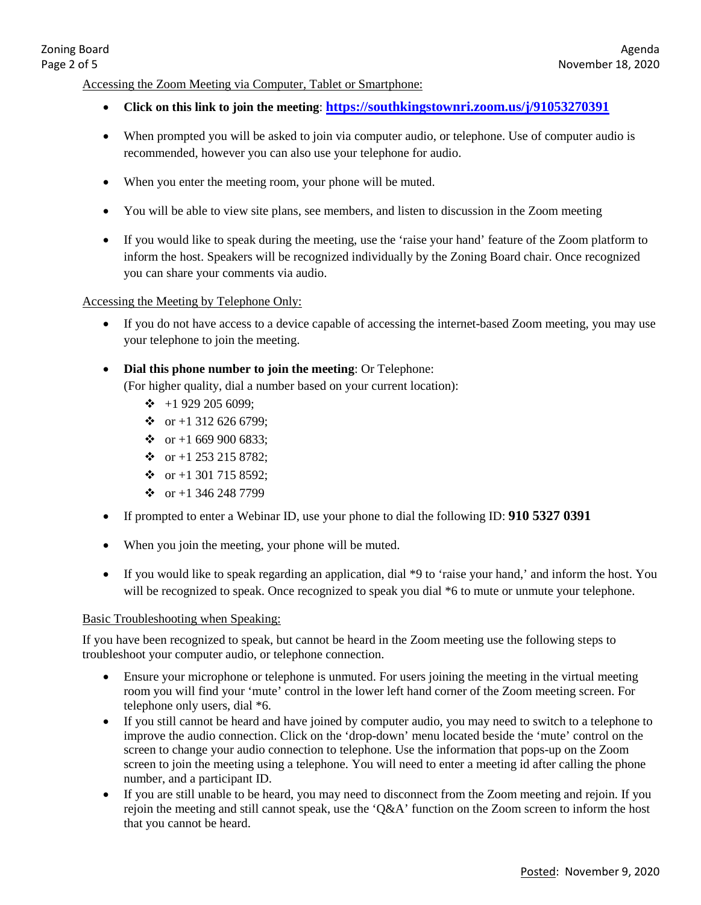#### Accessing the Zoom Meeting via Computer, Tablet or Smartphone:

- **Click on this link to join the meeting**: **<https://southkingstownri.zoom.us/j/91053270391>**
- When prompted you will be asked to join via computer audio, or telephone. Use of computer audio is recommended, however you can also use your telephone for audio.
- When you enter the meeting room, your phone will be muted.
- You will be able to view site plans, see members, and listen to discussion in the Zoom meeting
- If you would like to speak during the meeting, use the 'raise your hand' feature of the Zoom platform to inform the host. Speakers will be recognized individually by the Zoning Board chair. Once recognized you can share your comments via audio.

#### Accessing the Meeting by Telephone Only:

- If you do not have access to a device capable of accessing the internet-based Zoom meeting, you may use your telephone to join the meeting.
- **Dial this phone number to join the meeting**: Or Telephone: (For higher quality, dial a number based on your current location):
	- $\div$  +1 929 205 6099;
	- $\div$  or +1 312 626 6799;
	- $\div$  or +1 669 900 6833;
	- $\div$  or +1 253 215 8782;
	- $\div$  or +1 301 715 8592:
	- $\div$  or +1 346 248 7799
- If prompted to enter a Webinar ID, use your phone to dial the following ID: **910 5327 0391**
- When you join the meeting, your phone will be muted.
- If you would like to speak regarding an application, dial \*9 to 'raise your hand,' and inform the host. You will be recognized to speak. Once recognized to speak you dial \*6 to mute or unmute your telephone.

#### Basic Troubleshooting when Speaking:

If you have been recognized to speak, but cannot be heard in the Zoom meeting use the following steps to troubleshoot your computer audio, or telephone connection.

- Ensure your microphone or telephone is unmuted. For users joining the meeting in the virtual meeting room you will find your 'mute' control in the lower left hand corner of the Zoom meeting screen. For telephone only users, dial \*6.
- If you still cannot be heard and have joined by computer audio, you may need to switch to a telephone to improve the audio connection. Click on the 'drop-down' menu located beside the 'mute' control on the screen to change your audio connection to telephone. Use the information that pops-up on the Zoom screen to join the meeting using a telephone. You will need to enter a meeting id after calling the phone number, and a participant ID.
- If you are still unable to be heard, you may need to disconnect from the Zoom meeting and rejoin. If you rejoin the meeting and still cannot speak, use the 'Q&A' function on the Zoom screen to inform the host that you cannot be heard.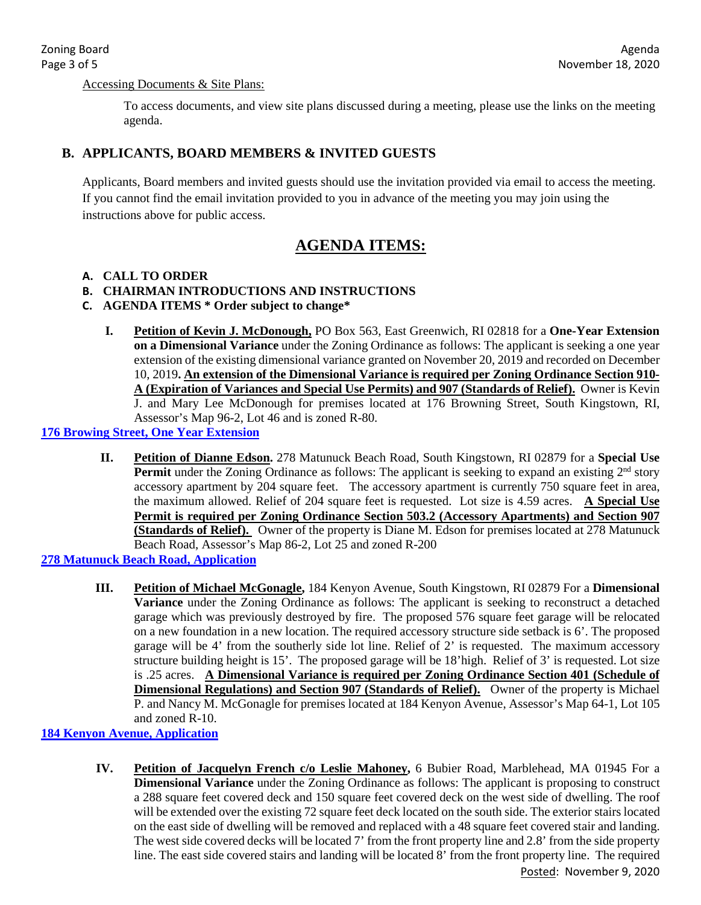### Accessing Documents & Site Plans:

To access documents, and view site plans discussed during a meeting, please use the links on the meeting agenda.

### **B. APPLICANTS, BOARD MEMBERS & INVITED GUESTS**

Applicants, Board members and invited guests should use the invitation provided via email to access the meeting. If you cannot find the email invitation provided to you in advance of the meeting you may join using the instructions above for public access.

# **AGENDA ITEMS:**

### **A. CALL TO ORDER**

### **B. CHAIRMAN INTRODUCTIONS AND INSTRUCTIONS**

- **C. AGENDA ITEMS \* Order subject to change\*** 
	- **I. Petition of Kevin J. McDonough,** PO Box 563, East Greenwich, RI 02818 for a **One-Year Extension on a Dimensional Variance** under the Zoning Ordinance as follows: The applicant is seeking a one year extension of the existing dimensional variance granted on November 20, 2019 and recorded on December 10, 2019**. An extension of the Dimensional Variance is required per Zoning Ordinance Section 910- A (Expiration of Variances and Special Use Permits) and 907 (Standards of Relief).** Owner is Kevin J. and Mary Lee McDonough for premises located at 176 Browning Street, South Kingstown, RI, Assessor's Map 96-2, Lot 46 and is zoned R-80.

### **[176 Browing Street, One Year Extension](http://www.southkingstownri.com/DocumentCenter/View/5503/176A-Browning-Street-McDonough-Application-one-year-extension)**

**II. Petition of Dianne Edson.** 278 Matunuck Beach Road, South Kingstown, RI 02879 for a **Special Use Permit** under the Zoning Ordinance as follows: The applicant is seeking to expand an existing  $2<sup>nd</sup>$  story accessory apartment by 204 square feet. The accessory apartment is currently 750 square feet in area, the maximum allowed. Relief of 204 square feet is requested. Lot size is 4.59 acres. **A Special Use Permit is required per Zoning Ordinance Section 503.2 (Accessory Apartments) and Section 907 (Standards of Relief).** Owner of the property is Diane M. Edson for premises located at 278 Matunuck Beach Road, Assessor's Map 86-2, Lot 25 and zoned R-200

## **[278 Matunuck Beach Road, Application](http://www.southkingstownri.com/DocumentCenter/View/5429/278-Matunuck-Beach-Road-Application)**

**III. Petition of Michael McGonagle,** 184 Kenyon Avenue, South Kingstown, RI 02879 For a **Dimensional Variance** under the Zoning Ordinance as follows: The applicant is seeking to reconstruct a detached garage which was previously destroyed by fire. The proposed 576 square feet garage will be relocated on a new foundation in a new location. The required accessory structure side setback is 6'. The proposed garage will be 4' from the southerly side lot line. Relief of 2' is requested. The maximum accessory structure building height is 15'. The proposed garage will be 18'high. Relief of 3' is requested. Lot size is .25 acres. **A Dimensional Variance is required per Zoning Ordinance Section 401 (Schedule of Dimensional Regulations) and Section 907 (Standards of Relief).** Owner of the property is Michael P. and Nancy M. McGonagle for premises located at 184 Kenyon Avenue, Assessor's Map 64-1, Lot 105 and zoned R-10.

### **[184 Kenyon Avenue, Application](http://www.southkingstownri.com/DocumentCenter/View/5509/184-Kenyon-Avenue-McGonagle-Application)**

Posted: November 9, 2020 **IV. Petition of Jacquelyn French c/o Leslie Mahoney,** 6 Bubier Road, Marblehead, MA 01945 For a **Dimensional Variance** under the Zoning Ordinance as follows: The applicant is proposing to construct a 288 square feet covered deck and 150 square feet covered deck on the west side of dwelling. The roof will be extended over the existing 72 square feet deck located on the south side. The exterior stairs located on the east side of dwelling will be removed and replaced with a 48 square feet covered stair and landing. The west side covered decks will be located 7' from the front property line and 2.8' from the side property line. The east side covered stairs and landing will be located 8' from the front property line. The required